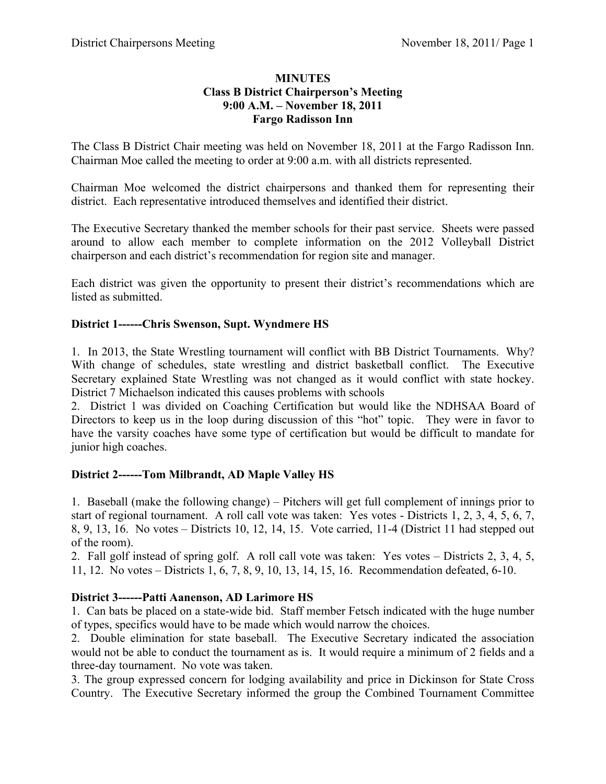#### **MINUTES Class B District Chairperson's Meeting 9:00 A.M. – November 18, 2011 Fargo Radisson Inn**

The Class B District Chair meeting was held on November 18, 2011 at the Fargo Radisson Inn. Chairman Moe called the meeting to order at 9:00 a.m. with all districts represented.

Chairman Moe welcomed the district chairpersons and thanked them for representing their district. Each representative introduced themselves and identified their district.

The Executive Secretary thanked the member schools for their past service. Sheets were passed around to allow each member to complete information on the 2012 Volleyball District chairperson and each district's recommendation for region site and manager.

Each district was given the opportunity to present their district's recommendations which are listed as submitted.

### **District 1------Chris Swenson, Supt. Wyndmere HS**

1. In 2013, the State Wrestling tournament will conflict with BB District Tournaments. Why? With change of schedules, state wrestling and district basketball conflict. The Executive Secretary explained State Wrestling was not changed as it would conflict with state hockey. District 7 Michaelson indicated this causes problems with schools

2. District 1 was divided on Coaching Certification but would like the NDHSAA Board of Directors to keep us in the loop during discussion of this "hot" topic. They were in favor to have the varsity coaches have some type of certification but would be difficult to mandate for junior high coaches.

### **District 2------Tom Milbrandt, AD Maple Valley HS**

1. Baseball (make the following change) – Pitchers will get full complement of innings prior to start of regional tournament. A roll call vote was taken: Yes votes - Districts 1, 2, 3, 4, 5, 6, 7, 8, 9, 13, 16. No votes – Districts 10, 12, 14, 15. Vote carried, 11-4 (District 11 had stepped out of the room).

2. Fall golf instead of spring golf. A roll call vote was taken: Yes votes – Districts 2, 3, 4, 5, 11, 12. No votes – Districts 1, 6, 7, 8, 9, 10, 13, 14, 15, 16. Recommendation defeated, 6-10.

### **District 3------Patti Aanenson, AD Larimore HS**

1. Can bats be placed on a state-wide bid. Staff member Fetsch indicated with the huge number of types, specifics would have to be made which would narrow the choices.

2. Double elimination for state baseball. The Executive Secretary indicated the association would not be able to conduct the tournament as is. It would require a minimum of 2 fields and a three-day tournament. No vote was taken.

3. The group expressed concern for lodging availability and price in Dickinson for State Cross Country. The Executive Secretary informed the group the Combined Tournament Committee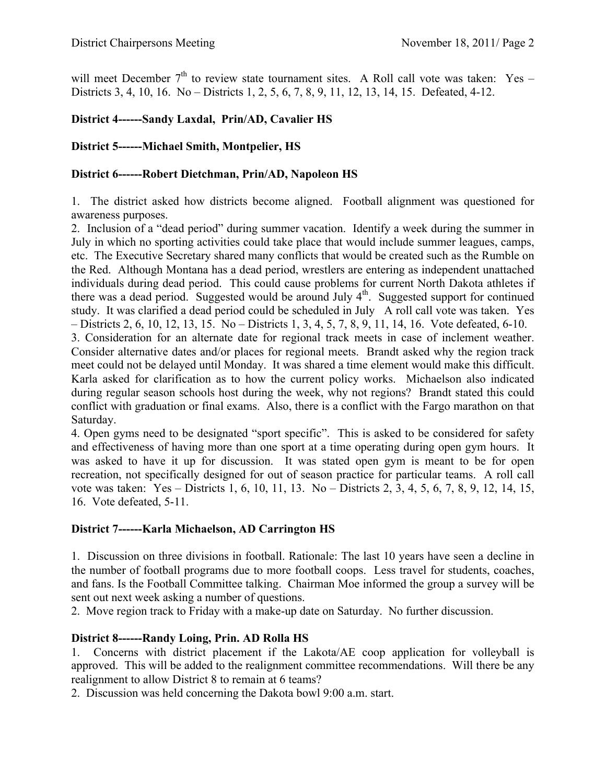will meet December  $7<sup>th</sup>$  to review state tournament sites. A Roll call vote was taken: Yes – Districts 3, 4, 10, 16. No – Districts 1, 2, 5, 6, 7, 8, 9, 11, 12, 13, 14, 15. Defeated, 4-12.

# **District 4------Sandy Laxdal, Prin/AD, Cavalier HS**

### **District 5------Michael Smith, Montpelier, HS**

#### **District 6------Robert Dietchman, Prin/AD, Napoleon HS**

1. The district asked how districts become aligned. Football alignment was questioned for awareness purposes.

2. Inclusion of a "dead period" during summer vacation. Identify a week during the summer in July in which no sporting activities could take place that would include summer leagues, camps, etc. The Executive Secretary shared many conflicts that would be created such as the Rumble on the Red. Although Montana has a dead period, wrestlers are entering as independent unattached individuals during dead period. This could cause problems for current North Dakota athletes if there was a dead period. Suggested would be around July  $4<sup>th</sup>$ . Suggested support for continued study. It was clarified a dead period could be scheduled in July A roll call vote was taken. Yes – Districts 2, 6, 10, 12, 13, 15. No – Districts 1, 3, 4, 5, 7, 8, 9, 11, 14, 16. Vote defeated, 6-10.

3. Consideration for an alternate date for regional track meets in case of inclement weather. Consider alternative dates and/or places for regional meets. Brandt asked why the region track meet could not be delayed until Monday. It was shared a time element would make this difficult. Karla asked for clarification as to how the current policy works. Michaelson also indicated during regular season schools host during the week, why not regions? Brandt stated this could conflict with graduation or final exams. Also, there is a conflict with the Fargo marathon on that Saturday.

4. Open gyms need to be designated "sport specific". This is asked to be considered for safety and effectiveness of having more than one sport at a time operating during open gym hours. It was asked to have it up for discussion. It was stated open gym is meant to be for open recreation, not specifically designed for out of season practice for particular teams. A roll call vote was taken: Yes – Districts 1, 6, 10, 11, 13. No – Districts 2, 3, 4, 5, 6, 7, 8, 9, 12, 14, 15, 16. Vote defeated, 5-11.

### **District 7------Karla Michaelson, AD Carrington HS**

1. Discussion on three divisions in football. Rationale: The last 10 years have seen a decline in the number of football programs due to more football coops. Less travel for students, coaches, and fans. Is the Football Committee talking. Chairman Moe informed the group a survey will be sent out next week asking a number of questions.

2. Move region track to Friday with a make-up date on Saturday. No further discussion.

### **District 8------Randy Loing, Prin. AD Rolla HS**

1. Concerns with district placement if the Lakota/AE coop application for volleyball is approved. This will be added to the realignment committee recommendations. Will there be any realignment to allow District 8 to remain at 6 teams?

2. Discussion was held concerning the Dakota bowl 9:00 a.m. start.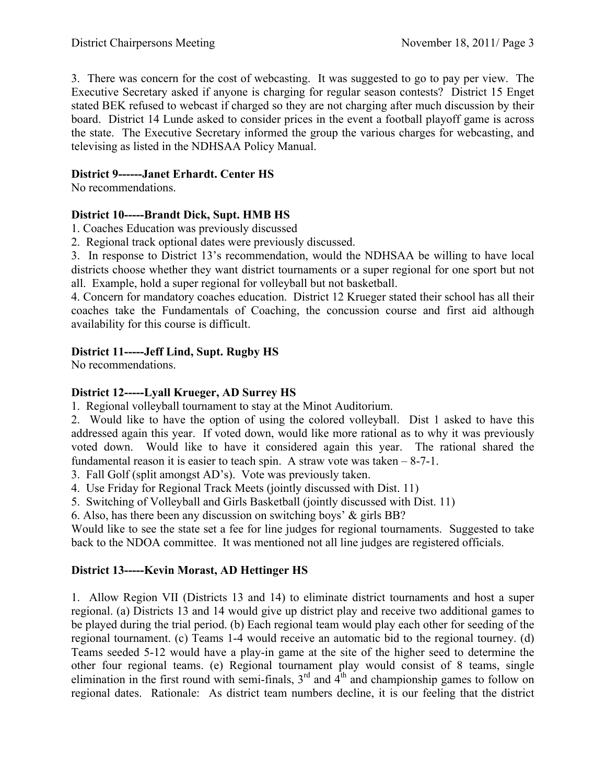3. There was concern for the cost of webcasting. It was suggested to go to pay per view. The Executive Secretary asked if anyone is charging for regular season contests? District 15 Enget stated BEK refused to webcast if charged so they are not charging after much discussion by their board. District 14 Lunde asked to consider prices in the event a football playoff game is across the state. The Executive Secretary informed the group the various charges for webcasting, and televising as listed in the NDHSAA Policy Manual.

### **District 9------Janet Erhardt. Center HS**

No recommendations.

## **District 10-----Brandt Dick, Supt. HMB HS**

1. Coaches Education was previously discussed

2. Regional track optional dates were previously discussed.

3. In response to District 13's recommendation, would the NDHSAA be willing to have local districts choose whether they want district tournaments or a super regional for one sport but not all. Example, hold a super regional for volleyball but not basketball.

4. Concern for mandatory coaches education. District 12 Krueger stated their school has all their coaches take the Fundamentals of Coaching, the concussion course and first aid although availability for this course is difficult.

## **District 11-----Jeff Lind, Supt. Rugby HS**

No recommendations.

### **District 12-----Lyall Krueger, AD Surrey HS**

1. Regional volleyball tournament to stay at the Minot Auditorium.

2. Would like to have the option of using the colored volleyball. Dist 1 asked to have this addressed again this year. If voted down, would like more rational as to why it was previously voted down. Would like to have it considered again this year. The rational shared the fundamental reason it is easier to teach spin. A straw vote was taken  $-8-7-1$ .

3. Fall Golf (split amongst AD's). Vote was previously taken.

- 4. Use Friday for Regional Track Meets (jointly discussed with Dist. 11)
- 5. Switching of Volleyball and Girls Basketball (jointly discussed with Dist. 11)

6. Also, has there been any discussion on switching boys' & girls BB?

Would like to see the state set a fee for line judges for regional tournaments. Suggested to take back to the NDOA committee. It was mentioned not all line judges are registered officials.

# **District 13-----Kevin Morast, AD Hettinger HS**

1. Allow Region VII (Districts 13 and 14) to eliminate district tournaments and host a super regional. (a) Districts 13 and 14 would give up district play and receive two additional games to be played during the trial period. (b) Each regional team would play each other for seeding of the regional tournament. (c) Teams 1-4 would receive an automatic bid to the regional tourney. (d) Teams seeded 5-12 would have a play-in game at the site of the higher seed to determine the other four regional teams. (e) Regional tournament play would consist of 8 teams, single elimination in the first round with semi-finals,  $3<sup>rd</sup>$  and  $4<sup>th</sup>$  and championship games to follow on regional dates. Rationale: As district team numbers decline, it is our feeling that the district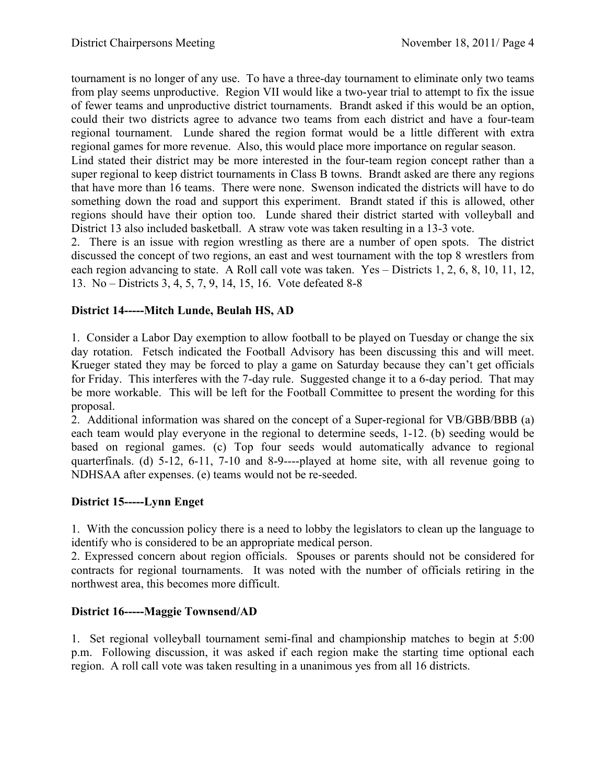tournament is no longer of any use. To have a three-day tournament to eliminate only two teams from play seems unproductive. Region VII would like a two-year trial to attempt to fix the issue of fewer teams and unproductive district tournaments. Brandt asked if this would be an option, could their two districts agree to advance two teams from each district and have a four-team regional tournament. Lunde shared the region format would be a little different with extra regional games for more revenue. Also, this would place more importance on regular season.

Lind stated their district may be more interested in the four-team region concept rather than a super regional to keep district tournaments in Class B towns. Brandt asked are there any regions that have more than 16 teams. There were none. Swenson indicated the districts will have to do something down the road and support this experiment. Brandt stated if this is allowed, other regions should have their option too. Lunde shared their district started with volleyball and District 13 also included basketball. A straw vote was taken resulting in a 13-3 vote.

2. There is an issue with region wrestling as there are a number of open spots. The district discussed the concept of two regions, an east and west tournament with the top 8 wrestlers from each region advancing to state. A Roll call vote was taken. Yes – Districts 1, 2, 6, 8, 10, 11, 12, 13. No – Districts 3, 4, 5, 7, 9, 14, 15, 16. Vote defeated 8-8

## **District 14-----Mitch Lunde, Beulah HS, AD**

1. Consider a Labor Day exemption to allow football to be played on Tuesday or change the six day rotation. Fetsch indicated the Football Advisory has been discussing this and will meet. Krueger stated they may be forced to play a game on Saturday because they can't get officials for Friday. This interferes with the 7-day rule. Suggested change it to a 6-day period. That may be more workable. This will be left for the Football Committee to present the wording for this proposal.

2. Additional information was shared on the concept of a Super-regional for VB/GBB/BBB (a) each team would play everyone in the regional to determine seeds, 1-12. (b) seeding would be based on regional games. (c) Top four seeds would automatically advance to regional quarterfinals. (d) 5-12, 6-11, 7-10 and 8-9----played at home site, with all revenue going to NDHSAA after expenses. (e) teams would not be re-seeded.

### **District 15-----Lynn Enget**

1. With the concussion policy there is a need to lobby the legislators to clean up the language to identify who is considered to be an appropriate medical person.

2. Expressed concern about region officials. Spouses or parents should not be considered for contracts for regional tournaments. It was noted with the number of officials retiring in the northwest area, this becomes more difficult.

### **District 16-----Maggie Townsend/AD**

1. Set regional volleyball tournament semi-final and championship matches to begin at 5:00 p.m. Following discussion, it was asked if each region make the starting time optional each region. A roll call vote was taken resulting in a unanimous yes from all 16 districts.